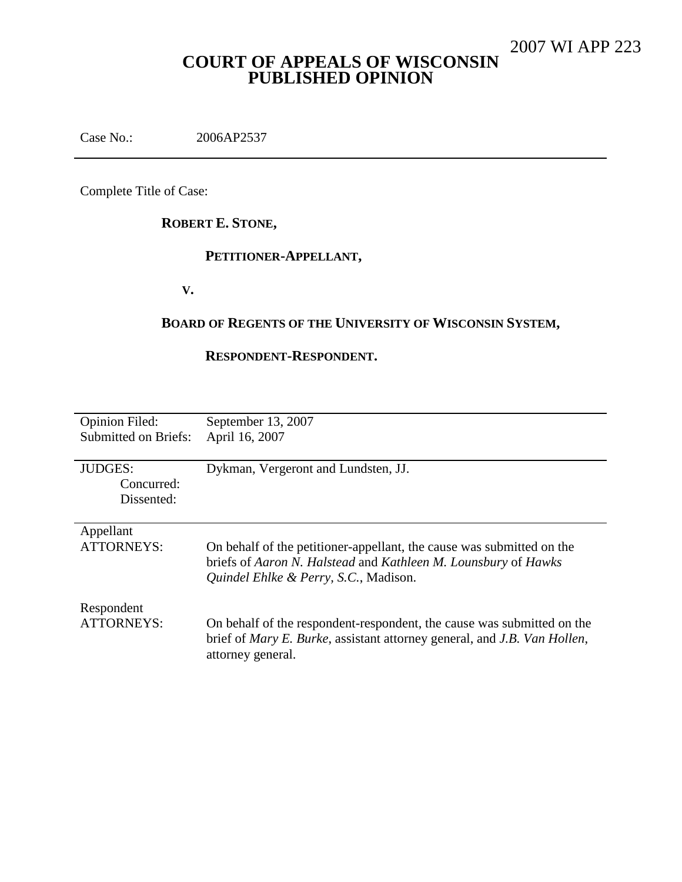# **COURT OF APPEALS OF WISCONSIN PUBLISHED OPINION**

Case No.: 2006AP2537

Complete Title of Case:

# **ROBERT E. STONE,**

### **PETITIONER-APPELLANT,**

**V.**

# **BOARD OF REGENTS OF THE UNIVERSITY OF WISCONSIN SYSTEM,**

### **RESPONDENT-RESPONDENT.**

| <b>Opinion Filed:</b><br><b>Submitted on Briefs:</b> | September 13, 2007<br>April 16, 2007                                                                                                                                                    |
|------------------------------------------------------|-----------------------------------------------------------------------------------------------------------------------------------------------------------------------------------------|
| <b>JUDGES:</b><br>Concurred:<br>Dissented:           | Dykman, Vergeront and Lundsten, JJ.                                                                                                                                                     |
| Appellant<br><b>ATTORNEYS:</b>                       | On behalf of the petitioner-appellant, the cause was submitted on the<br>briefs of Aaron N. Halstead and Kathleen M. Lounsbury of Hawks<br>Quindel Ehlke & Perry, S.C., Madison.        |
| Respondent<br><b>ATTORNEYS:</b>                      | On behalf of the respondent-respondent, the cause was submitted on the<br>brief of <i>Mary E. Burke</i> , assistant attorney general, and <i>J.B. Van Hollen</i> ,<br>attorney general. |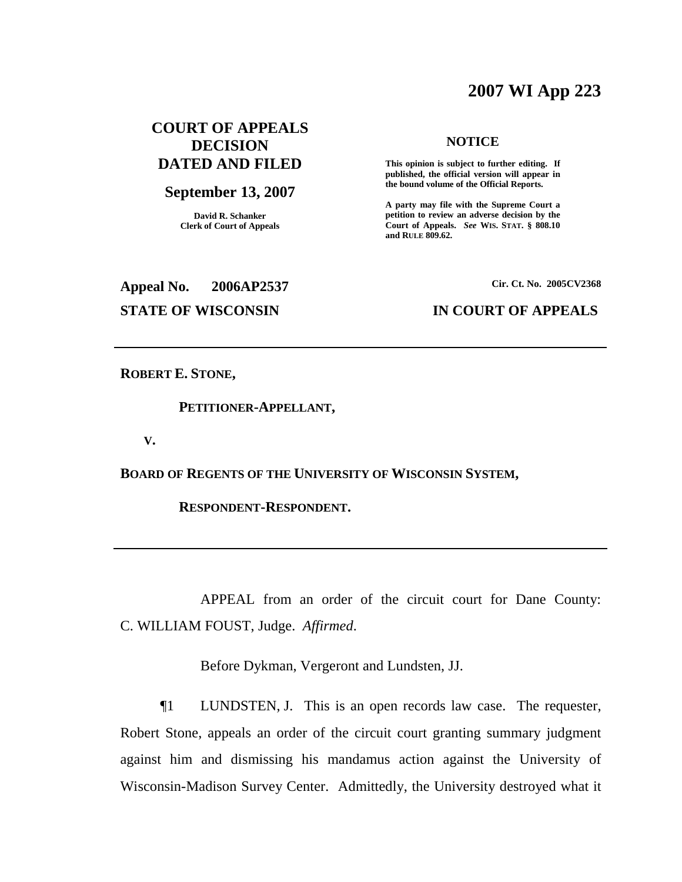# **2007 WI App 223**

### **COURT OF APPEALS DECISION DATED AND FILED**

### **September 13, 2007**

**David R. Schanker Clerk of Court of Appeals**

### **NOTICE**

**This opinion is subject to further editing. If published, the official version will appear in the bound volume of the Official Reports.**

**A party may file with the Supreme Court a petition to review an adverse decision by the Court of Appeals.** *See* **WIS. STAT. § 808.10 and RULE 809.62.**

**Appeal No. 2006AP2537**

**Cir. Ct. No. 2005CV2368**

### **STATE OF WISCONSIN IN COURT OF APPEALS**

**ROBERT E. STONE,**

### **PETITIONER-APPELLANT,**

**V.**

**BOARD OF REGENTS OF THE UNIVERSITY OF WISCONSIN SYSTEM,**

**RESPONDENT-RESPONDENT.**

APPEAL from an order of the circuit court for Dane County: C. WILLIAM FOUST, Judge. *Affirmed*.

Before Dykman, Vergeront and Lundsten, JJ.

¶1 LUNDSTEN, J. This is an open records law case. The requester, Robert Stone, appeals an order of the circuit court granting summary judgment against him and dismissing his mandamus action against the University of Wisconsin-Madison Survey Center. Admittedly, the University destroyed what it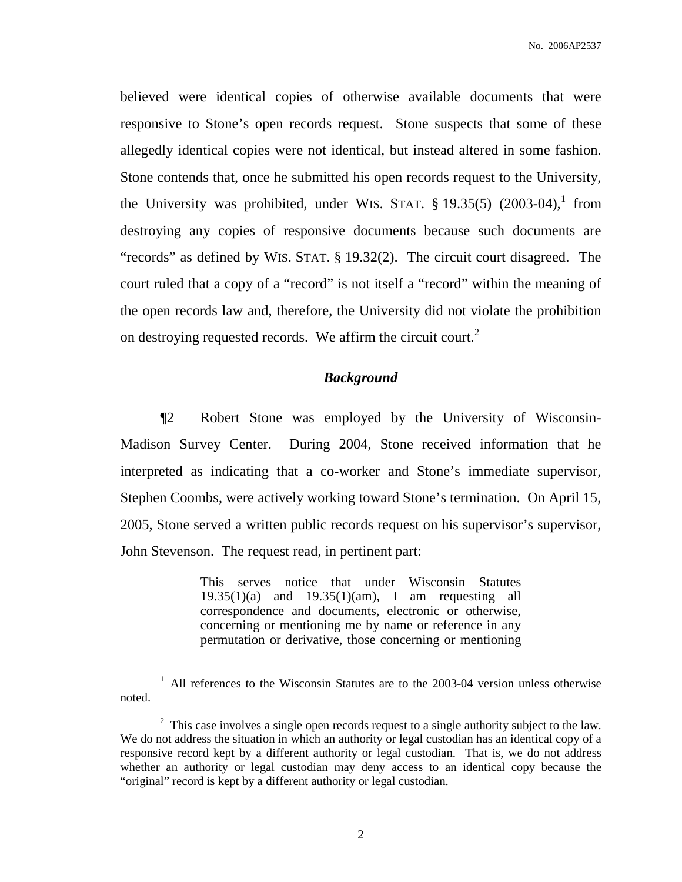believed were identical copies of otherwise available documents that were responsive to Stone's open records request. Stone suspects that some of these allegedly identical copies were not identical, but instead altered in some fashion. Stone contends that, once he submitted his open records request to the University, the University was prohibited, under WIS. STAT.  $\S$  19.35(5) (2003-04), from destroying any copies of responsive documents because such documents are "records" as defined by WIS. STAT. § 19.32(2). The circuit court disagreed. The court ruled that a copy of a "record" is not itself a "record" within the meaning of the open records law and, therefore, the University did not violate the prohibition on destroying requested records. We affirm the circuit court.<sup>2</sup>

### *Background*

¶2 Robert Stone was employed by the University of Wisconsin-Madison Survey Center. During 2004, Stone received information that he interpreted as indicating that a co-worker and Stone's immediate supervisor, Stephen Coombs, were actively working toward Stone's termination. On April 15, 2005, Stone served a written public records request on his supervisor's supervisor, John Stevenson. The request read, in pertinent part:

> This serves notice that under Wisconsin Statutes 19.35(1)(a) and 19.35(1)(am), I am requesting all correspondence and documents, electronic or otherwise, concerning or mentioning me by name or reference in any permutation or derivative, those concerning or mentioning

<sup>&</sup>lt;sup>1</sup> All references to the Wisconsin Statutes are to the 2003-04 version unless otherwise noted.

 $2\degree$  This case involves a single open records request to a single authority subject to the law. We do not address the situation in which an authority or legal custodian has an identical copy of a responsive record kept by a different authority or legal custodian. That is, we do not address whether an authority or legal custodian may deny access to an identical copy because the "original" record is kept by a different authority or legal custodian.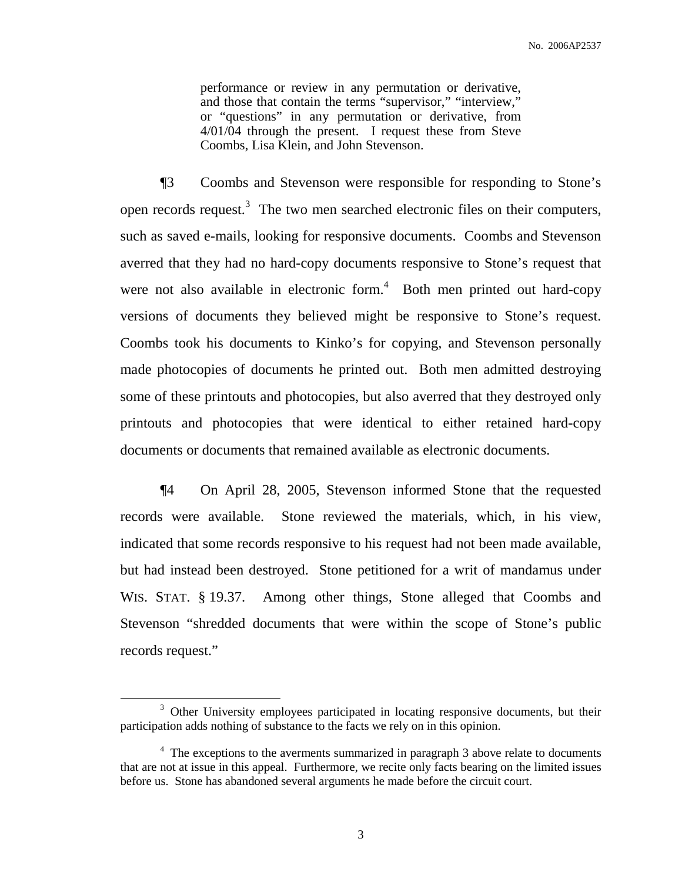performance or review in any permutation or derivative, and those that contain the terms "supervisor," "interview," or "questions" in any permutation or derivative, from 4/01/04 through the present. I request these from Steve Coombs, Lisa Klein, and John Stevenson.

¶3 Coombs and Stevenson were responsible for responding to Stone's open records request.<sup>3</sup> The two men searched electronic files on their computers, such as saved e-mails, looking for responsive documents. Coombs and Stevenson averred that they had no hard-copy documents responsive to Stone's request that were not also available in electronic form.<sup>4</sup> Both men printed out hard-copy versions of documents they believed might be responsive to Stone's request. Coombs took his documents to Kinko's for copying, and Stevenson personally made photocopies of documents he printed out. Both men admitted destroying some of these printouts and photocopies, but also averred that they destroyed only printouts and photocopies that were identical to either retained hard-copy documents or documents that remained available as electronic documents.

¶4 On April 28, 2005, Stevenson informed Stone that the requested records were available. Stone reviewed the materials, which, in his view, indicated that some records responsive to his request had not been made available, but had instead been destroyed. Stone petitioned for a writ of mandamus under WIS. STAT. § 19.37. Among other things, Stone alleged that Coombs and Stevenson "shredded documents that were within the scope of Stone's public records request."

<sup>&</sup>lt;sup>3</sup> Other University employees participated in locating responsive documents, but their participation adds nothing of substance to the facts we rely on in this opinion.

<sup>&</sup>lt;sup>4</sup> The exceptions to the averments summarized in paragraph 3 above relate to documents that are not at issue in this appeal. Furthermore, we recite only facts bearing on the limited issues before us. Stone has abandoned several arguments he made before the circuit court.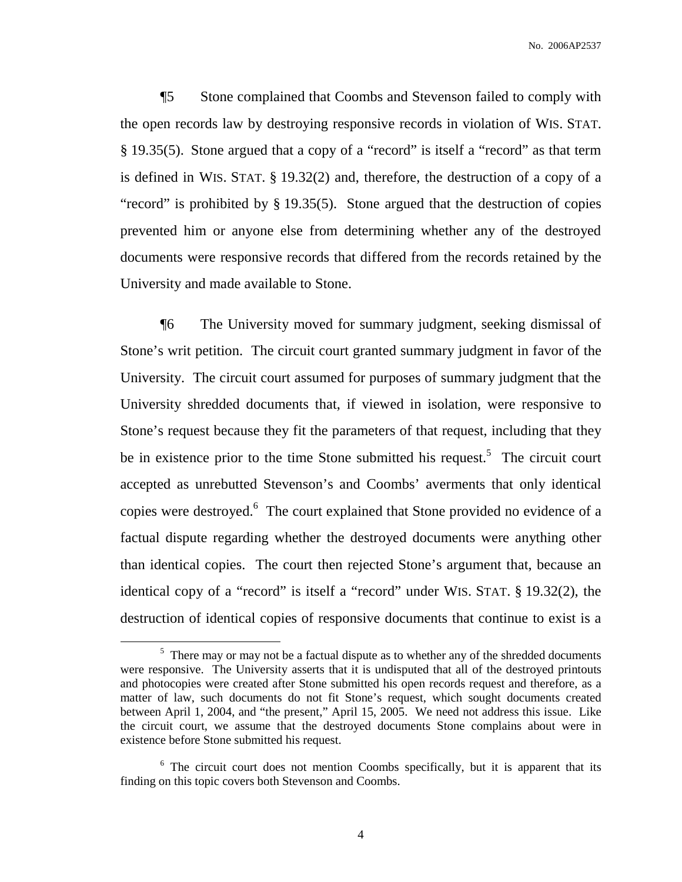¶5 Stone complained that Coombs and Stevenson failed to comply with the open records law by destroying responsive records in violation of WIS. STAT. § 19.35(5). Stone argued that a copy of a "record" is itself a "record" as that term is defined in WIS. STAT. § 19.32(2) and, therefore, the destruction of a copy of a "record" is prohibited by § 19.35(5). Stone argued that the destruction of copies prevented him or anyone else from determining whether any of the destroyed documents were responsive records that differed from the records retained by the University and made available to Stone.

¶6 The University moved for summary judgment, seeking dismissal of Stone's writ petition. The circuit court granted summary judgment in favor of the University. The circuit court assumed for purposes of summary judgment that the University shredded documents that, if viewed in isolation, were responsive to Stone's request because they fit the parameters of that request, including that they be in existence prior to the time Stone submitted his request.<sup>5</sup> The circuit court accepted as unrebutted Stevenson's and Coombs' averments that only identical copies were destroyed.<sup>6</sup> The court explained that Stone provided no evidence of a factual dispute regarding whether the destroyed documents were anything other than identical copies. The court then rejected Stone's argument that, because an identical copy of a "record" is itself a "record" under WIS. STAT. § 19.32(2), the destruction of identical copies of responsive documents that continue to exist is a

 $5$  There may or may not be a factual dispute as to whether any of the shredded documents were responsive. The University asserts that it is undisputed that all of the destroyed printouts and photocopies were created after Stone submitted his open records request and therefore, as a matter of law, such documents do not fit Stone's request, which sought documents created between April 1, 2004, and "the present," April 15, 2005. We need not address this issue. Like the circuit court, we assume that the destroyed documents Stone complains about were in existence before Stone submitted his request.

<sup>&</sup>lt;sup>6</sup> The circuit court does not mention Coombs specifically, but it is apparent that its finding on this topic covers both Stevenson and Coombs.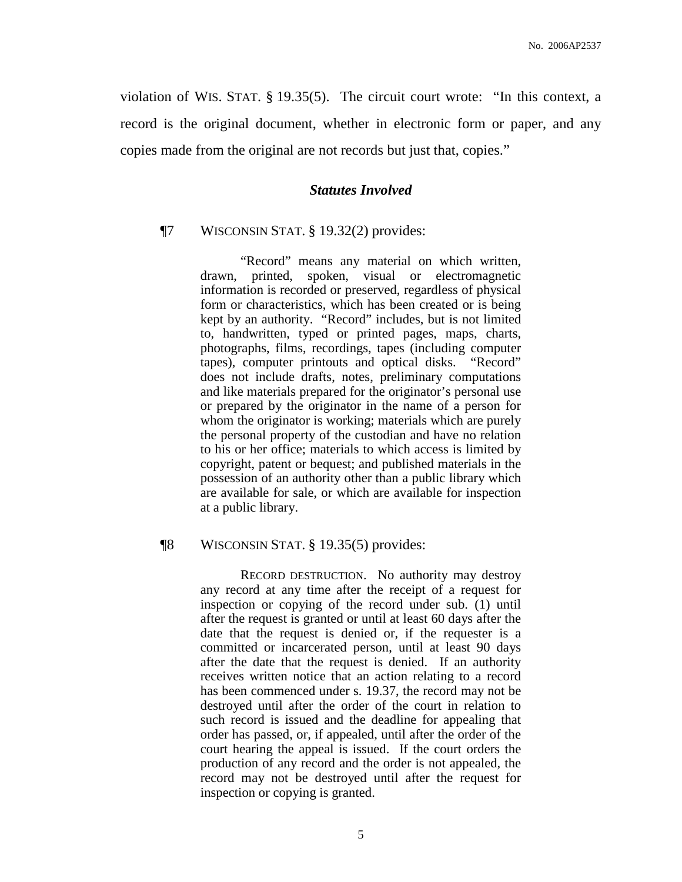violation of WIS. STAT. § 19.35(5). The circuit court wrote: "In this context, a record is the original document, whether in electronic form or paper, and any copies made from the original are not records but just that, copies."

### *Statutes Involved*

### ¶7 WISCONSIN STAT. § 19.32(2) provides:

"Record" means any material on which written, drawn, printed, spoken, visual or electromagnetic information is recorded or preserved, regardless of physical form or characteristics, which has been created or is being kept by an authority. "Record" includes, but is not limited to, handwritten, typed or printed pages, maps, charts, photographs, films, recordings, tapes (including computer tapes), computer printouts and optical disks. "Record" does not include drafts, notes, preliminary computations and like materials prepared for the originator's personal use or prepared by the originator in the name of a person for whom the originator is working; materials which are purely the personal property of the custodian and have no relation to his or her office; materials to which access is limited by copyright, patent or bequest; and published materials in the possession of an authority other than a public library which are available for sale, or which are available for inspection at a public library.

### ¶8 WISCONSIN STAT. § 19.35(5) provides:

RECORD DESTRUCTION. No authority may destroy any record at any time after the receipt of a request for inspection or copying of the record under sub. (1) until after the request is granted or until at least 60 days after the date that the request is denied or, if the requester is a committed or incarcerated person, until at least 90 days after the date that the request is denied. If an authority receives written notice that an action relating to a record has been commenced under s. 19.37, the record may not be destroyed until after the order of the court in relation to such record is issued and the deadline for appealing that order has passed, or, if appealed, until after the order of the court hearing the appeal is issued. If the court orders the production of any record and the order is not appealed, the record may not be destroyed until after the request for inspection or copying is granted.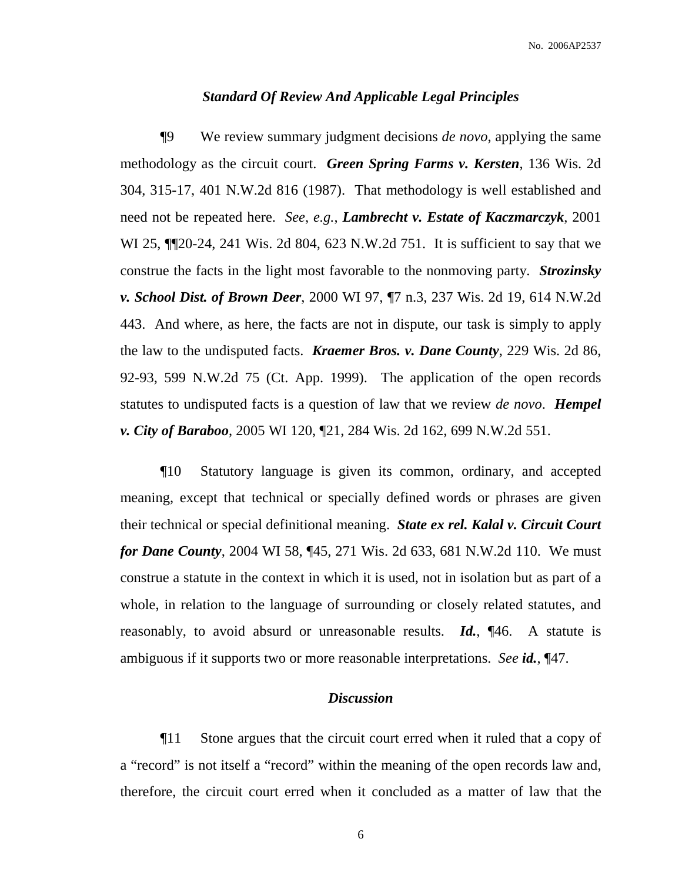### *Standard Of Review And Applicable Legal Principles*

¶9 We review summary judgment decisions *de novo*, applying the same methodology as the circuit court. *Green Spring Farms v. Kersten*, 136 Wis. 2d 304, 315-17, 401 N.W.2d 816 (1987). That methodology is well established and need not be repeated here. *See*, *e.g.*, *Lambrecht v. Estate of Kaczmarczyk*, 2001 WI 25, ¶¶20-24, 241 Wis. 2d 804, 623 N.W.2d 751. It is sufficient to say that we construe the facts in the light most favorable to the nonmoving party. *Strozinsky v. School Dist. of Brown Deer*, 2000 WI 97, ¶7 n.3, 237 Wis. 2d 19, 614 N.W.2d 443. And where, as here, the facts are not in dispute, our task is simply to apply the law to the undisputed facts. *Kraemer Bros. v. Dane County*, 229 Wis. 2d 86, 92-93, 599 N.W.2d 75 (Ct. App. 1999). The application of the open records statutes to undisputed facts is a question of law that we review *de novo*. *Hempel v. City of Baraboo*, 2005 WI 120, ¶21, 284 Wis. 2d 162, 699 N.W.2d 551.

¶10 Statutory language is given its common, ordinary, and accepted meaning, except that technical or specially defined words or phrases are given their technical or special definitional meaning. *State ex rel. Kalal v. Circuit Court for Dane County*, 2004 WI 58, ¶45, 271 Wis. 2d 633, 681 N.W.2d 110. We must construe a statute in the context in which it is used, not in isolation but as part of a whole, in relation to the language of surrounding or closely related statutes, and reasonably, to avoid absurd or unreasonable results. *Id.*, ¶46. A statute is ambiguous if it supports two or more reasonable interpretations. *See id.*, ¶47.

### *Discussion*

¶11 Stone argues that the circuit court erred when it ruled that a copy of a "record" is not itself a "record" within the meaning of the open records law and, therefore, the circuit court erred when it concluded as a matter of law that the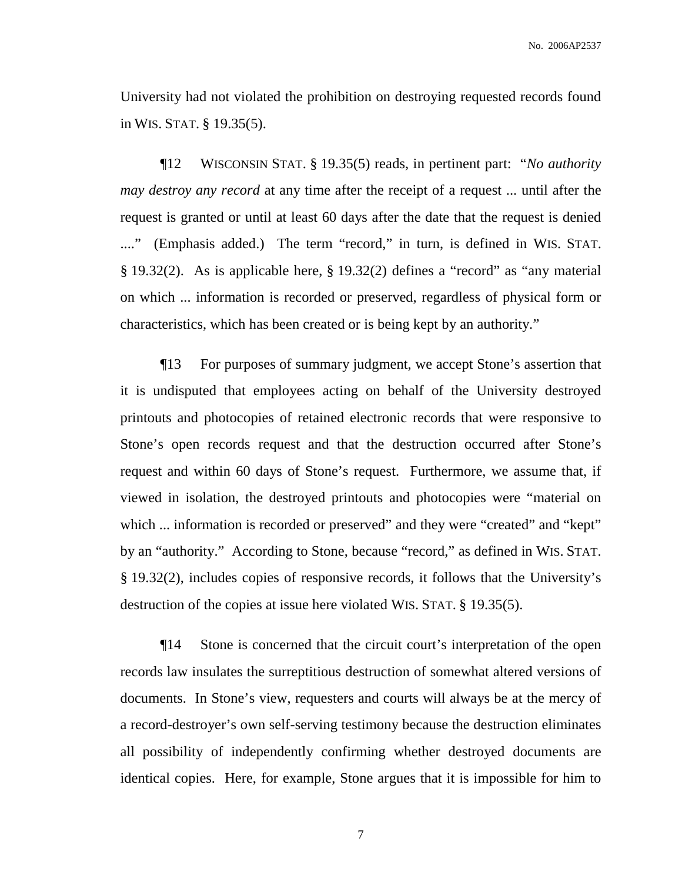University had not violated the prohibition on destroying requested records found in WIS. STAT. § 19.35(5).

¶12 WISCONSIN STAT. § 19.35(5) reads, in pertinent part: "*No authority may destroy any record* at any time after the receipt of a request ... until after the request is granted or until at least 60 days after the date that the request is denied ...." (Emphasis added.) The term "record," in turn, is defined in WIS. STAT. § 19.32(2). As is applicable here, § 19.32(2) defines a "record" as "any material on which ... information is recorded or preserved, regardless of physical form or characteristics, which has been created or is being kept by an authority."

¶13 For purposes of summary judgment, we accept Stone's assertion that it is undisputed that employees acting on behalf of the University destroyed printouts and photocopies of retained electronic records that were responsive to Stone's open records request and that the destruction occurred after Stone's request and within 60 days of Stone's request. Furthermore, we assume that, if viewed in isolation, the destroyed printouts and photocopies were "material on which ... information is recorded or preserved" and they were "created" and "kept" by an "authority." According to Stone, because "record," as defined in WIS. STAT. § 19.32(2), includes copies of responsive records, it follows that the University's destruction of the copies at issue here violated WIS. STAT. § 19.35(5).

¶14 Stone is concerned that the circuit court's interpretation of the open records law insulates the surreptitious destruction of somewhat altered versions of documents. In Stone's view, requesters and courts will always be at the mercy of a record-destroyer's own self-serving testimony because the destruction eliminates all possibility of independently confirming whether destroyed documents are identical copies. Here, for example, Stone argues that it is impossible for him to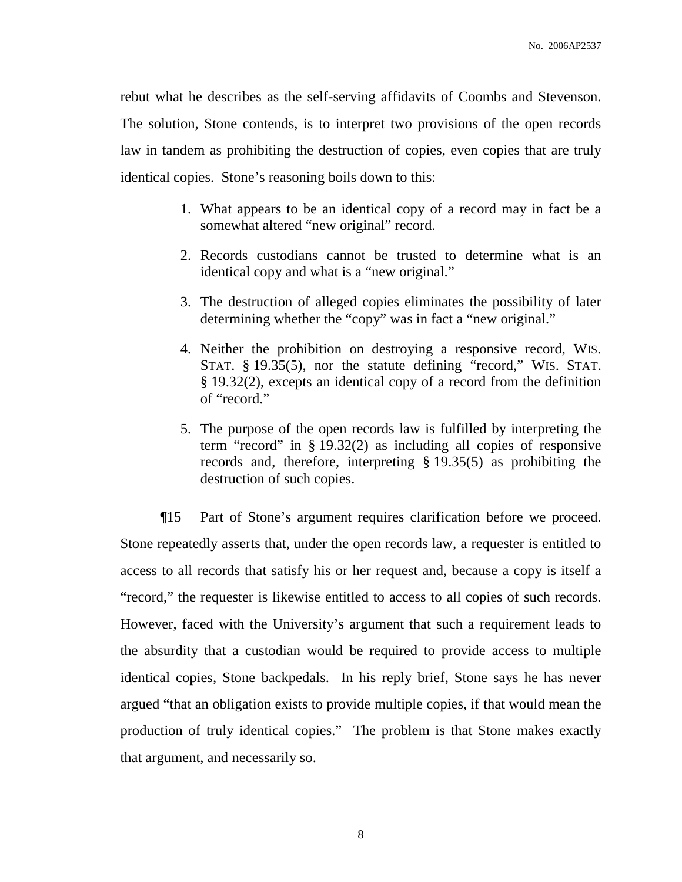rebut what he describes as the self-serving affidavits of Coombs and Stevenson. The solution, Stone contends, is to interpret two provisions of the open records law in tandem as prohibiting the destruction of copies, even copies that are truly identical copies. Stone's reasoning boils down to this:

- 1. What appears to be an identical copy of a record may in fact be a somewhat altered "new original" record.
- 2. Records custodians cannot be trusted to determine what is an identical copy and what is a "new original."
- 3. The destruction of alleged copies eliminates the possibility of later determining whether the "copy" was in fact a "new original."
- 4. Neither the prohibition on destroying a responsive record, WIS. STAT. § 19.35(5), nor the statute defining "record," WIS. STAT. § 19.32(2), excepts an identical copy of a record from the definition of "record."
- 5. The purpose of the open records law is fulfilled by interpreting the term "record" in § 19.32(2) as including all copies of responsive records and, therefore, interpreting § 19.35(5) as prohibiting the destruction of such copies.

¶15 Part of Stone's argument requires clarification before we proceed. Stone repeatedly asserts that, under the open records law, a requester is entitled to access to all records that satisfy his or her request and, because a copy is itself a "record," the requester is likewise entitled to access to all copies of such records. However, faced with the University's argument that such a requirement leads to the absurdity that a custodian would be required to provide access to multiple identical copies, Stone backpedals. In his reply brief, Stone says he has never argued "that an obligation exists to provide multiple copies, if that would mean the production of truly identical copies." The problem is that Stone makes exactly that argument, and necessarily so.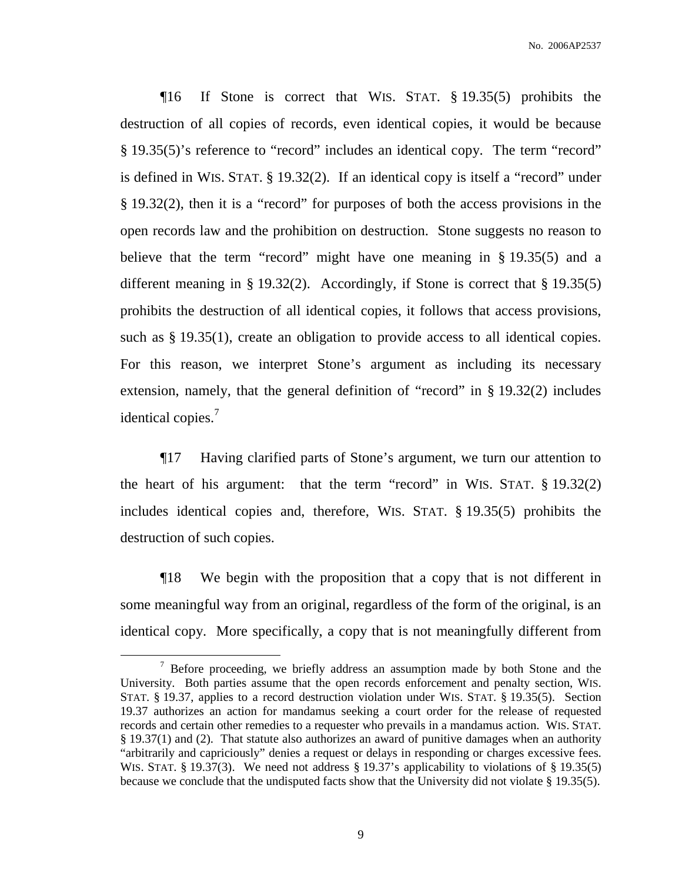¶16 If Stone is correct that WIS. STAT. § 19.35(5) prohibits the destruction of all copies of records, even identical copies, it would be because § 19.35(5)'s reference to "record" includes an identical copy. The term "record" is defined in WIS. STAT. § 19.32(2). If an identical copy is itself a "record" under § 19.32(2), then it is a "record" for purposes of both the access provisions in the open records law and the prohibition on destruction. Stone suggests no reason to believe that the term "record" might have one meaning in § 19.35(5) and a different meaning in § 19.32(2). Accordingly, if Stone is correct that § 19.35(5) prohibits the destruction of all identical copies, it follows that access provisions, such as § 19.35(1), create an obligation to provide access to all identical copies. For this reason, we interpret Stone's argument as including its necessary extension, namely, that the general definition of "record" in § 19.32(2) includes identical copies.<sup>7</sup>

¶17 Having clarified parts of Stone's argument, we turn our attention to the heart of his argument: that the term "record" in WIS. STAT. § 19.32(2) includes identical copies and, therefore, WIS. STAT. § 19.35(5) prohibits the destruction of such copies.

¶18 We begin with the proposition that a copy that is not different in some meaningful way from an original, regardless of the form of the original, is an identical copy. More specifically, a copy that is not meaningfully different from

 $\frac{7}{7}$  Before proceeding, we briefly address an assumption made by both Stone and the University. Both parties assume that the open records enforcement and penalty section, WIS. STAT. § 19.37, applies to a record destruction violation under WIS. STAT. § 19.35(5). Section 19.37 authorizes an action for mandamus seeking a court order for the release of requested records and certain other remedies to a requester who prevails in a mandamus action. WIS. STAT. § 19.37(1) and (2). That statute also authorizes an award of punitive damages when an authority "arbitrarily and capriciously" denies a request or delays in responding or charges excessive fees. WIS. STAT. § 19.37(3). We need not address § 19.37's applicability to violations of § 19.35(5) because we conclude that the undisputed facts show that the University did not violate § 19.35(5).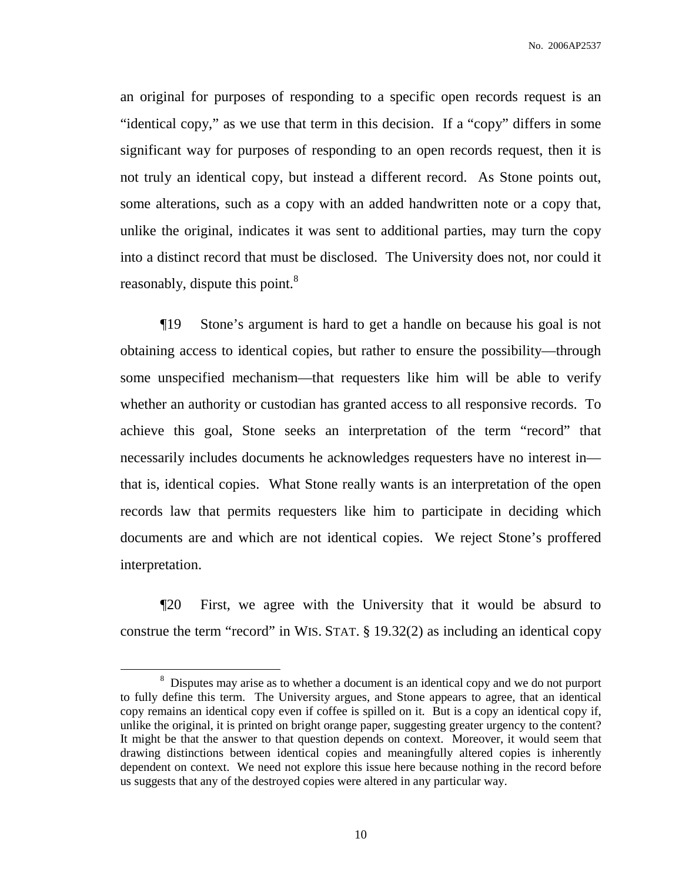an original for purposes of responding to a specific open records request is an "identical copy," as we use that term in this decision. If a "copy" differs in some significant way for purposes of responding to an open records request, then it is not truly an identical copy, but instead a different record. As Stone points out, some alterations, such as a copy with an added handwritten note or a copy that, unlike the original, indicates it was sent to additional parties, may turn the copy into a distinct record that must be disclosed. The University does not, nor could it reasonably, dispute this point.<sup>8</sup>

¶19 Stone's argument is hard to get a handle on because his goal is not obtaining access to identical copies, but rather to ensure the possibility—through some unspecified mechanism—that requesters like him will be able to verify whether an authority or custodian has granted access to all responsive records. To achieve this goal, Stone seeks an interpretation of the term "record" that necessarily includes documents he acknowledges requesters have no interest in that is, identical copies. What Stone really wants is an interpretation of the open records law that permits requesters like him to participate in deciding which documents are and which are not identical copies. We reject Stone's proffered interpretation.

¶20 First, we agree with the University that it would be absurd to construe the term "record" in WIS. STAT. § 19.32(2) as including an identical copy

<sup>&</sup>lt;sup>8</sup> Disputes may arise as to whether a document is an identical copy and we do not purport to fully define this term. The University argues, and Stone appears to agree, that an identical copy remains an identical copy even if coffee is spilled on it. But is a copy an identical copy if, unlike the original, it is printed on bright orange paper, suggesting greater urgency to the content? It might be that the answer to that question depends on context. Moreover, it would seem that drawing distinctions between identical copies and meaningfully altered copies is inherently dependent on context. We need not explore this issue here because nothing in the record before us suggests that any of the destroyed copies were altered in any particular way.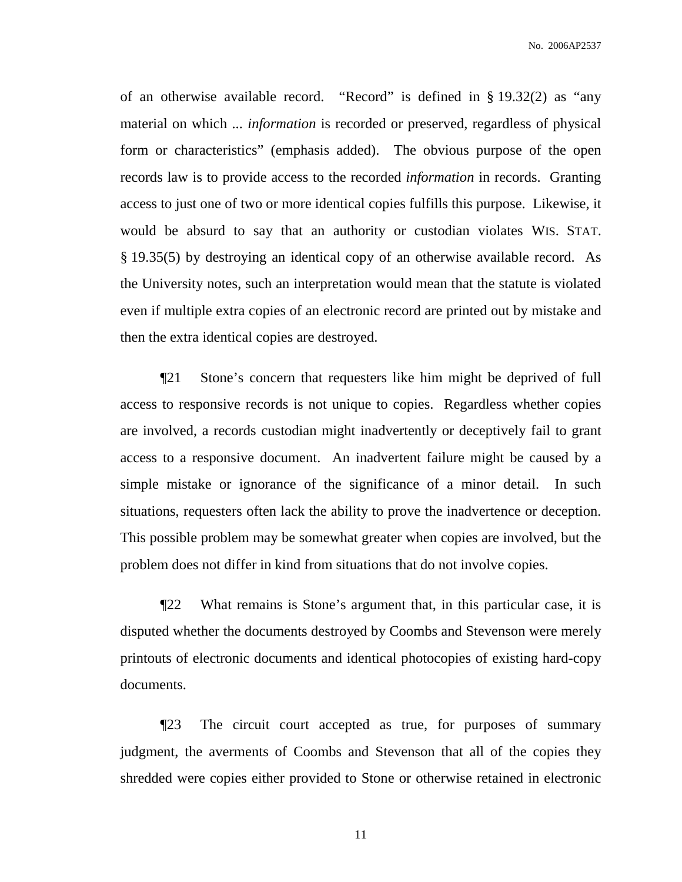of an otherwise available record. "Record" is defined in § 19.32(2) as "any material on which ... *information* is recorded or preserved, regardless of physical form or characteristics" (emphasis added). The obvious purpose of the open records law is to provide access to the recorded *information* in records. Granting access to just one of two or more identical copies fulfills this purpose. Likewise, it would be absurd to say that an authority or custodian violates WIS. STAT. § 19.35(5) by destroying an identical copy of an otherwise available record. As the University notes, such an interpretation would mean that the statute is violated even if multiple extra copies of an electronic record are printed out by mistake and then the extra identical copies are destroyed.

¶21 Stone's concern that requesters like him might be deprived of full access to responsive records is not unique to copies. Regardless whether copies are involved, a records custodian might inadvertently or deceptively fail to grant access to a responsive document. An inadvertent failure might be caused by a simple mistake or ignorance of the significance of a minor detail. In such situations, requesters often lack the ability to prove the inadvertence or deception. This possible problem may be somewhat greater when copies are involved, but the problem does not differ in kind from situations that do not involve copies.

¶22 What remains is Stone's argument that, in this particular case, it is disputed whether the documents destroyed by Coombs and Stevenson were merely printouts of electronic documents and identical photocopies of existing hard-copy documents.

¶23 The circuit court accepted as true, for purposes of summary judgment, the averments of Coombs and Stevenson that all of the copies they shredded were copies either provided to Stone or otherwise retained in electronic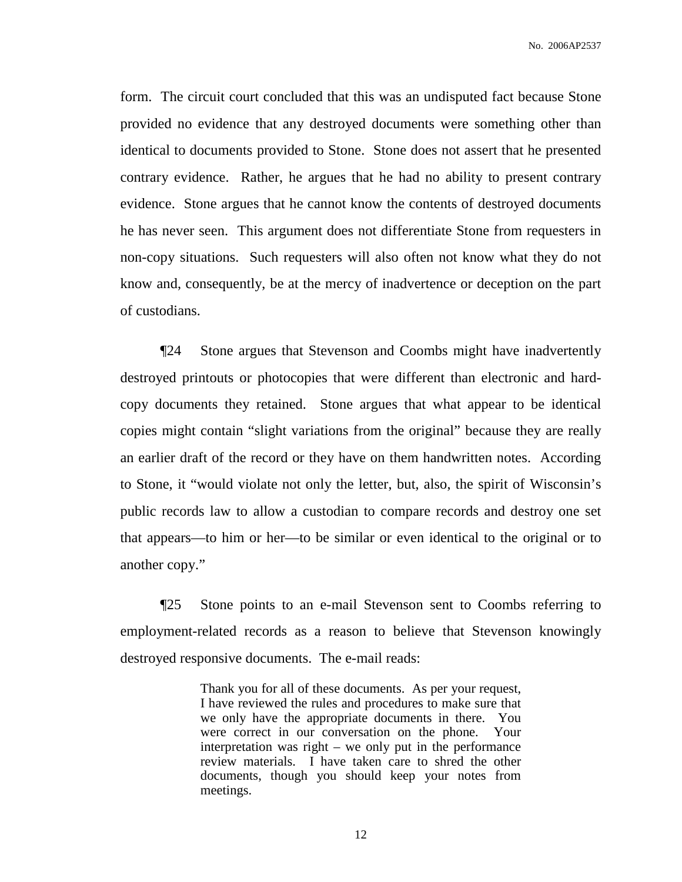No. 2006AP2537

form. The circuit court concluded that this was an undisputed fact because Stone provided no evidence that any destroyed documents were something other than identical to documents provided to Stone. Stone does not assert that he presented contrary evidence. Rather, he argues that he had no ability to present contrary evidence. Stone argues that he cannot know the contents of destroyed documents he has never seen. This argument does not differentiate Stone from requesters in non-copy situations. Such requesters will also often not know what they do not know and, consequently, be at the mercy of inadvertence or deception on the part of custodians.

¶24 Stone argues that Stevenson and Coombs might have inadvertently destroyed printouts or photocopies that were different than electronic and hardcopy documents they retained. Stone argues that what appear to be identical copies might contain "slight variations from the original" because they are really an earlier draft of the record or they have on them handwritten notes. According to Stone, it "would violate not only the letter, but, also, the spirit of Wisconsin's public records law to allow a custodian to compare records and destroy one set that appears—to him or her—to be similar or even identical to the original or to another copy."

¶25 Stone points to an e-mail Stevenson sent to Coombs referring to employment-related records as a reason to believe that Stevenson knowingly destroyed responsive documents. The e-mail reads:

> Thank you for all of these documents. As per your request, I have reviewed the rules and procedures to make sure that we only have the appropriate documents in there. You were correct in our conversation on the phone. Your interpretation was right – we only put in the performance review materials. I have taken care to shred the other documents, though you should keep your notes from meetings.